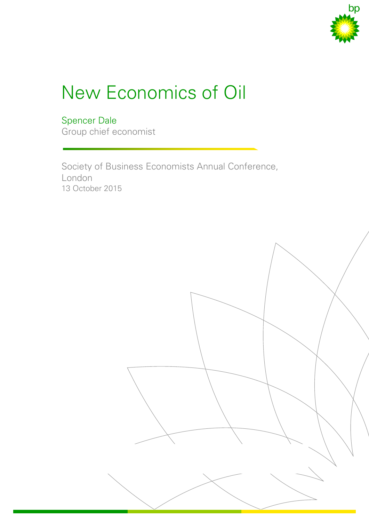

# New Economics of Oil

# Spencer Dale

Group chief economist

Society of Business Economists Annual Conference, London 13 October 2015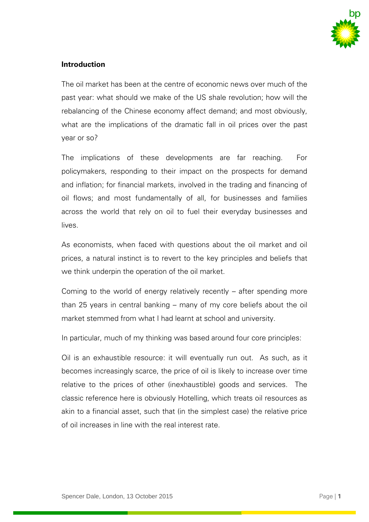

# **Introduction**

The oil market has been at the centre of economic news over much of the past year: what should we make of the US shale revolution; how will the rebalancing of the Chinese economy affect demand; and most obviously, what are the implications of the dramatic fall in oil prices over the past year or so?

The implications of these developments are far reaching. For policymakers, responding to their impact on the prospects for demand and inflation; for financial markets, involved in the trading and financing of oil flows; and most fundamentally of all, for businesses and families across the world that rely on oil to fuel their everyday businesses and lives.

As economists, when faced with questions about the oil market and oil prices, a natural instinct is to revert to the key principles and beliefs that we think underpin the operation of the oil market.

Coming to the world of energy relatively recently – after spending more than 25 years in central banking – many of my core beliefs about the oil market stemmed from what I had learnt at school and university.

In particular, much of my thinking was based around four core principles:

Oil is an exhaustible resource: it will eventually run out. As such, as it becomes increasingly scarce, the price of oil is likely to increase over time relative to the prices of other (inexhaustible) goods and services. The classic reference here is obviously Hotelling, which treats oil resources as akin to a financial asset, such that (in the simplest case) the relative price of oil increases in line with the real interest rate.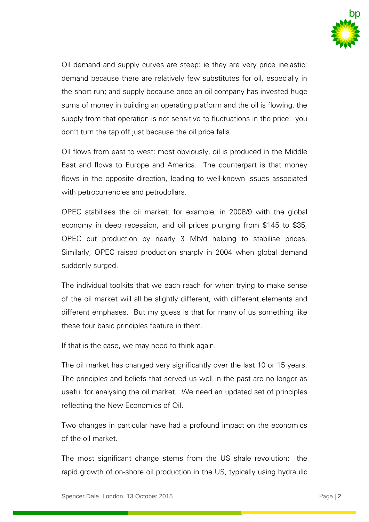

Oil demand and supply curves are steep: ie they are very price inelastic: demand because there are relatively few substitutes for oil, especially in the short run; and supply because once an oil company has invested huge sums of money in building an operating platform and the oil is flowing, the supply from that operation is not sensitive to fluctuations in the price: you don't turn the tap off just because the oil price falls.

Oil flows from east to west: most obviously, oil is produced in the Middle East and flows to Europe and America. The counterpart is that money flows in the opposite direction, leading to well-known issues associated with petrocurrencies and petrodollars.

OPEC stabilises the oil market: for example, in 2008/9 with the global economy in deep recession, and oil prices plunging from \$145 to \$35, OPEC cut production by nearly 3 Mb/d helping to stabilise prices. Similarly, OPEC raised production sharply in 2004 when global demand suddenly surged.

The individual toolkits that we each reach for when trying to make sense of the oil market will all be slightly different, with different elements and different emphases. But my guess is that for many of us something like these four basic principles feature in them.

If that is the case, we may need to think again.

The oil market has changed very significantly over the last 10 or 15 years. The principles and beliefs that served us well in the past are no longer as useful for analysing the oil market. We need an updated set of principles reflecting the New Economics of Oil.

Two changes in particular have had a profound impact on the economics of the oil market.

The most significant change stems from the US shale revolution: the rapid growth of on-shore oil production in the US, typically using hydraulic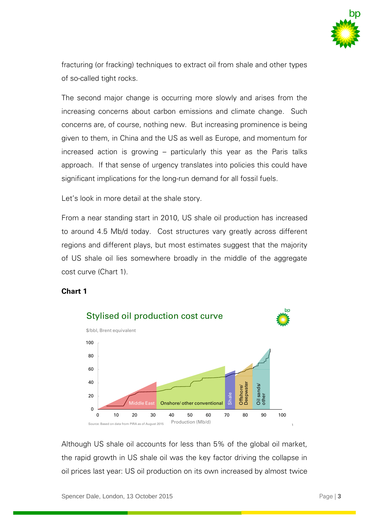

fracturing (or fracking) techniques to extract oil from shale and other types of so-called tight rocks.

The second major change is occurring more slowly and arises from the increasing concerns about carbon emissions and climate change. Such concerns are, of course, nothing new. But increasing prominence is being given to them, in China and the US as well as Europe, and momentum for increased action is growing – particularly this year as the Paris talks approach. If that sense of urgency translates into policies this could have significant implications for the long-run demand for all fossil fuels.

Let's look in more detail at the shale story.

From a near standing start in 2010, US shale oil production has increased to around 4.5 Mb/d today. Cost structures vary greatly across different regions and different plays, but most estimates suggest that the majority of US shale oil lies somewhere broadly in the middle of the aggregate cost curve (Chart 1).

#### **Chart 1**



Although US shale oil accounts for less than 5% of the global oil market, the rapid growth in US shale oil was the key factor driving the collapse in oil prices last year: US oil production on its own increased by almost twice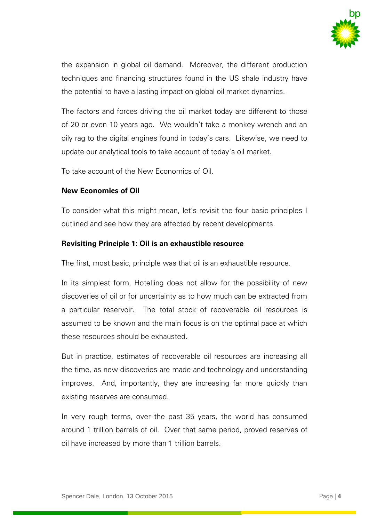

the expansion in global oil demand. Moreover, the different production techniques and financing structures found in the US shale industry have the potential to have a lasting impact on global oil market dynamics.

The factors and forces driving the oil market today are different to those of 20 or even 10 years ago. We wouldn't take a monkey wrench and an oily rag to the digital engines found in today's cars. Likewise, we need to update our analytical tools to take account of today's oil market.

To take account of the New Economics of Oil.

# **New Economics of Oil**

To consider what this might mean, let's revisit the four basic principles I outlined and see how they are affected by recent developments.

# **Revisiting Principle 1: Oil is an exhaustible resource**

The first, most basic, principle was that oil is an exhaustible resource.

In its simplest form, Hotelling does not allow for the possibility of new discoveries of oil or for uncertainty as to how much can be extracted from a particular reservoir. The total stock of recoverable oil resources is assumed to be known and the main focus is on the optimal pace at which these resources should be exhausted.

But in practice, estimates of recoverable oil resources are increasing all the time, as new discoveries are made and technology and understanding improves. And, importantly, they are increasing far more quickly than existing reserves are consumed.

In very rough terms, over the past 35 years, the world has consumed around 1 trillion barrels of oil. Over that same period, proved reserves of oil have increased by more than 1 trillion barrels.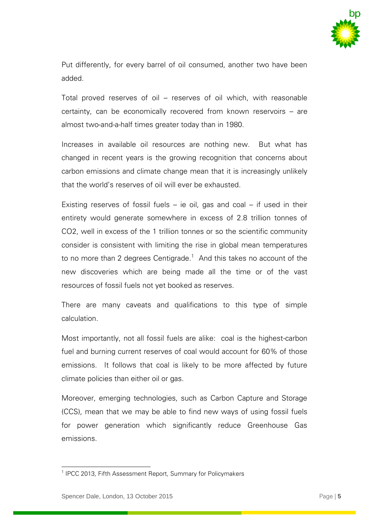

Put differently, for every barrel of oil consumed, another two have been added.

Total proved reserves of oil – reserves of oil which, with reasonable certainty, can be economically recovered from known reservoirs – are almost two-and-a-half times greater today than in 1980.

Increases in available oil resources are nothing new. But what has changed in recent years is the growing recognition that concerns about carbon emissions and climate change mean that it is increasingly unlikely that the world's reserves of oil will ever be exhausted.

Existing reserves of fossil fuels  $-$  ie oil, gas and coal  $-$  if used in their entirety would generate somewhere in excess of 2.8 trillion tonnes of CO2, well in excess of the 1 trillion tonnes or so the scientific community consider is consistent with limiting the rise in global mean temperatures to no more than 2 degrees Centigrade. $1$  And this takes no account of the new discoveries which are being made all the time or of the vast resources of fossil fuels not yet booked as reserves.

There are many caveats and qualifications to this type of simple calculation.

Most importantly, not all fossil fuels are alike: coal is the highest-carbon fuel and burning current reserves of coal would account for 60% of those emissions. It follows that coal is likely to be more affected by future climate policies than either oil or gas.

Moreover, emerging technologies, such as Carbon Capture and Storage (CCS), mean that we may be able to find new ways of using fossil fuels for power generation which significantly reduce Greenhouse Gas emissions.

 1 IPCC 2013, Fifth Assessment Report, Summary for Policymakers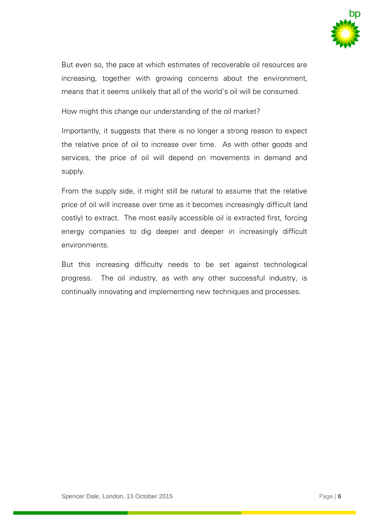

But even so, the pace at which estimates of recoverable oil resources are increasing, together with growing concerns about the environment, means that it seems unlikely that all of the world's oil will be consumed.

How might this change our understanding of the oil market?

Importantly, it suggests that there is no longer a strong reason to expect the relative price of oil to increase over time. As with other goods and services, the price of oil will depend on movements in demand and supply.

From the supply side, it might still be natural to assume that the relative price of oil will increase over time as it becomes increasingly difficult (and costly) to extract. The most easily accessible oil is extracted first, forcing energy companies to dig deeper and deeper in increasingly difficult environments.

But this increasing difficulty needs to be set against technological progress. The oil industry, as with any other successful industry, is continually innovating and implementing new techniques and processes.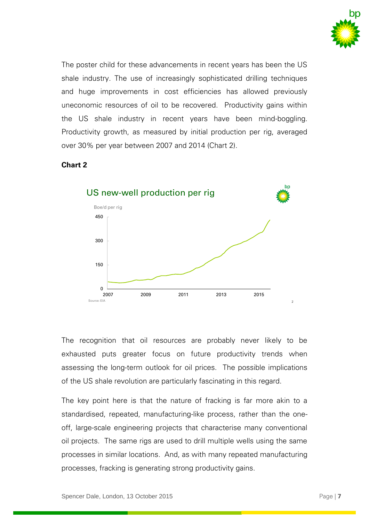

The poster child for these advancements in recent years has been the US shale industry. The use of increasingly sophisticated drilling techniques and huge improvements in cost efficiencies has allowed previously uneconomic resources of oil to be recovered. Productivity gains within the US shale industry in recent years have been mind-boggling. Productivity growth, as measured by initial production per rig, averaged over 30% per year between 2007 and 2014 (Chart 2).

#### **Chart 2**



The recognition that oil resources are probably never likely to be exhausted puts greater focus on future productivity trends when assessing the long-term outlook for oil prices. The possible implications of the US shale revolution are particularly fascinating in this regard.

The key point here is that the nature of fracking is far more akin to a standardised, repeated, manufacturing-like process, rather than the oneoff, large-scale engineering projects that characterise many conventional oil projects. The same rigs are used to drill multiple wells using the same processes in similar locations. And, as with many repeated manufacturing processes, fracking is generating strong productivity gains.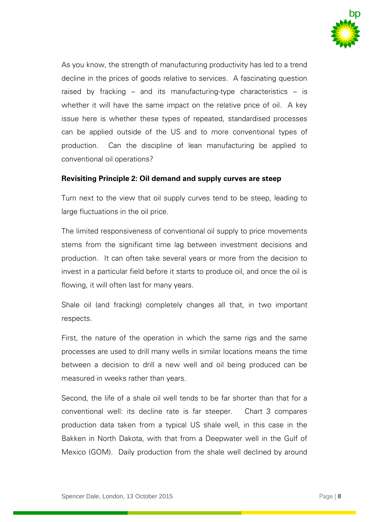

As you know, the strength of manufacturing productivity has led to a trend decline in the prices of goods relative to services. A fascinating question raised by fracking – and its manufacturing-type characteristics – is whether it will have the same impact on the relative price of oil. A key issue here is whether these types of repeated, standardised processes can be applied outside of the US and to more conventional types of production. Can the discipline of lean manufacturing be applied to conventional oil operations?

#### **Revisiting Principle 2: Oil demand and supply curves are steep**

Turn next to the view that oil supply curves tend to be steep, leading to large fluctuations in the oil price.

The limited responsiveness of conventional oil supply to price movements stems from the significant time lag between investment decisions and production. It can often take several years or more from the decision to invest in a particular field before it starts to produce oil, and once the oil is flowing, it will often last for many years.

Shale oil (and fracking) completely changes all that, in two important respects.

First, the nature of the operation in which the same rigs and the same processes are used to drill many wells in similar locations means the time between a decision to drill a new well and oil being produced can be measured in weeks rather than years.

Second, the life of a shale oil well tends to be far shorter than that for a conventional well: its decline rate is far steeper. Chart 3 compares production data taken from a typical US shale well, in this case in the Bakken in North Dakota, with that from a Deepwater well in the Gulf of Mexico (GOM). Daily production from the shale well declined by around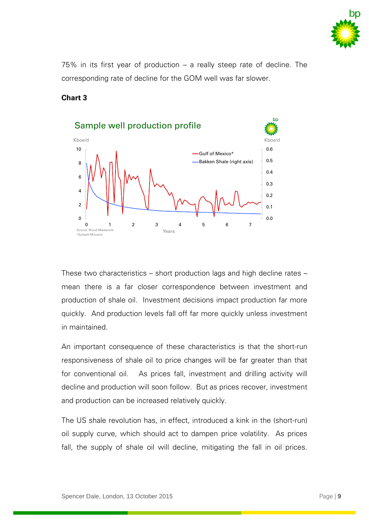

75% in its first year of production – a really steep rate of decline. The corresponding rate of decline for the GOM well was far slower.

#### **Chart 3**



These two characteristics – short production lags and high decline rates – mean there is a far closer correspondence between investment and production of shale oil. Investment decisions impact production far more quickly. And production levels fall off far more quickly unless investment in maintained.

An important consequence of these characteristics is that the short-run responsiveness of shale oil to price changes will be far greater than that for conventional oil. As prices fall, investment and drilling activity will decline and production will soon follow. But as prices recover, investment and production can be increased relatively quickly.

The US shale revolution has, in effect, introduced a kink in the (short-run) oil supply curve, which should act to dampen price volatility. As prices fall, the supply of shale oil will decline, mitigating the fall in oil prices.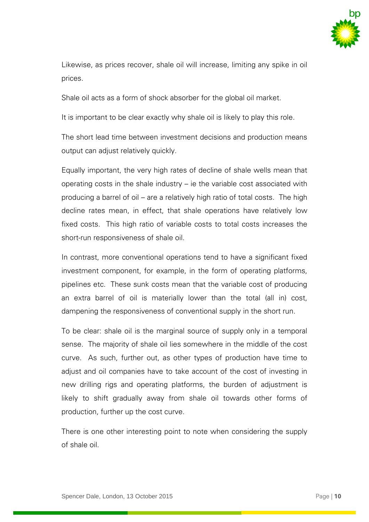

Likewise, as prices recover, shale oil will increase, limiting any spike in oil prices.

Shale oil acts as a form of shock absorber for the global oil market.

It is important to be clear exactly why shale oil is likely to play this role.

The short lead time between investment decisions and production means output can adjust relatively quickly.

Equally important, the very high rates of decline of shale wells mean that operating costs in the shale industry – ie the variable cost associated with producing a barrel of oil – are a relatively high ratio of total costs. The high decline rates mean, in effect, that shale operations have relatively low fixed costs. This high ratio of variable costs to total costs increases the short-run responsiveness of shale oil.

In contrast, more conventional operations tend to have a significant fixed investment component, for example, in the form of operating platforms, pipelines etc. These sunk costs mean that the variable cost of producing an extra barrel of oil is materially lower than the total (all in) cost, dampening the responsiveness of conventional supply in the short run.

To be clear: shale oil is the marginal source of supply only in a temporal sense. The majority of shale oil lies somewhere in the middle of the cost curve. As such, further out, as other types of production have time to adjust and oil companies have to take account of the cost of investing in new drilling rigs and operating platforms, the burden of adjustment is likely to shift gradually away from shale oil towards other forms of production, further up the cost curve.

There is one other interesting point to note when considering the supply of shale oil.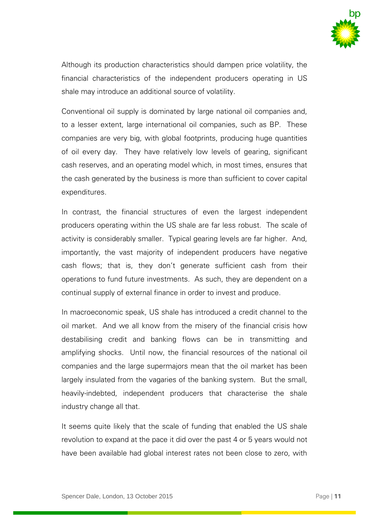

Although its production characteristics should dampen price volatility, the financial characteristics of the independent producers operating in US shale may introduce an additional source of volatility.

Conventional oil supply is dominated by large national oil companies and, to a lesser extent, large international oil companies, such as BP. These companies are very big, with global footprints, producing huge quantities of oil every day. They have relatively low levels of gearing, significant cash reserves, and an operating model which, in most times, ensures that the cash generated by the business is more than sufficient to cover capital expenditures.

In contrast, the financial structures of even the largest independent producers operating within the US shale are far less robust. The scale of activity is considerably smaller. Typical gearing levels are far higher. And, importantly, the vast majority of independent producers have negative cash flows; that is, they don't generate sufficient cash from their operations to fund future investments. As such, they are dependent on a continual supply of external finance in order to invest and produce.

In macroeconomic speak, US shale has introduced a credit channel to the oil market. And we all know from the misery of the financial crisis how destabilising credit and banking flows can be in transmitting and amplifying shocks. Until now, the financial resources of the national oil companies and the large supermajors mean that the oil market has been largely insulated from the vagaries of the banking system. But the small, heavily-indebted, independent producers that characterise the shale industry change all that.

It seems quite likely that the scale of funding that enabled the US shale revolution to expand at the pace it did over the past 4 or 5 years would not have been available had global interest rates not been close to zero, with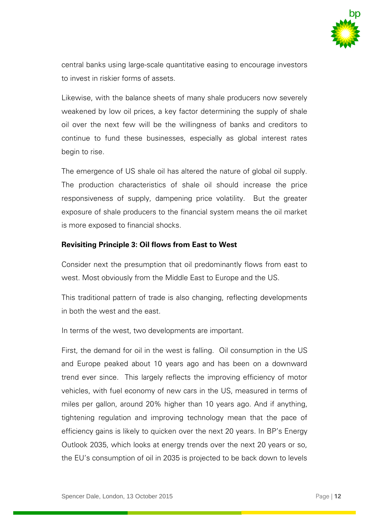

central banks using large-scale quantitative easing to encourage investors to invest in riskier forms of assets.

Likewise, with the balance sheets of many shale producers now severely weakened by low oil prices, a key factor determining the supply of shale oil over the next few will be the willingness of banks and creditors to continue to fund these businesses, especially as global interest rates begin to rise.

The emergence of US shale oil has altered the nature of global oil supply. The production characteristics of shale oil should increase the price responsiveness of supply, dampening price volatility. But the greater exposure of shale producers to the financial system means the oil market is more exposed to financial shocks.

#### **Revisiting Principle 3: Oil flows from East to West**

Consider next the presumption that oil predominantly flows from east to west. Most obviously from the Middle East to Europe and the US.

This traditional pattern of trade is also changing, reflecting developments in both the west and the east.

In terms of the west, two developments are important.

First, the demand for oil in the west is falling. Oil consumption in the US and Europe peaked about 10 years ago and has been on a downward trend ever since. This largely reflects the improving efficiency of motor vehicles, with fuel economy of new cars in the US, measured in terms of miles per gallon, around 20% higher than 10 years ago. And if anything, tightening regulation and improving technology mean that the pace of efficiency gains is likely to quicken over the next 20 years. In BP's Energy Outlook 2035, which looks at energy trends over the next 20 years or so, the EU's consumption of oil in 2035 is projected to be back down to levels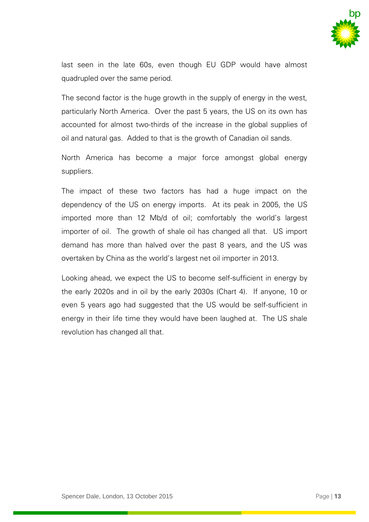

last seen in the late 60s, even though EU GDP would have almost quadrupled over the same period.

The second factor is the huge growth in the supply of energy in the west, particularly North America. Over the past 5 years, the US on its own has accounted for almost two-thirds of the increase in the global supplies of oil and natural gas. Added to that is the growth of Canadian oil sands.

North America has become a major force amongst global energy suppliers.

The impact of these two factors has had a huge impact on the dependency of the US on energy imports. At its peak in 2005, the US imported more than 12 Mb/d of oil; comfortably the world's largest importer of oil. The growth of shale oil has changed all that. US import demand has more than halved over the past 8 years, and the US was overtaken by China as the world's largest net oil importer in 2013.

Looking ahead, we expect the US to become self-sufficient in energy by the early 2020s and in oil by the early 2030s (Chart 4). If anyone, 10 or even 5 years ago had suggested that the US would be self-sufficient in energy in their life time they would have been laughed at. The US shale revolution has changed all that.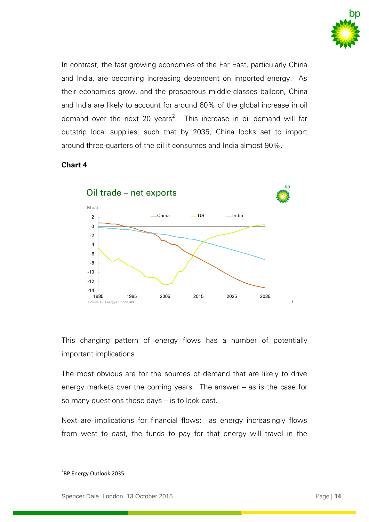

In contrast, the fast growing economies of the Far East, particularly China and India, are becoming increasing dependent on imported energy. As their economies grow, and the prosperous middle-classes balloon, China and India are likely to account for around 60% of the global increase in oil demand over the next 20 years<sup>2</sup>. This increase in oil demand will far outstrip local supplies, such that by 2035, China looks set to import around three-quarters of the oil it consumes and India almost 90%.

# **Chart 4**



This changing pattern of energy flows has a number of potentially important implications.

The most obvious are for the sources of demand that are likely to drive energy markets over the coming years. The answer – as is the case for so many questions these days – is to look east.

Next are implications for financial flows: as energy increasingly flows from west to east, the funds to pay for that energy will travel in the

l

<sup>&</sup>lt;sup>2</sup>BP Energy Outlook 2035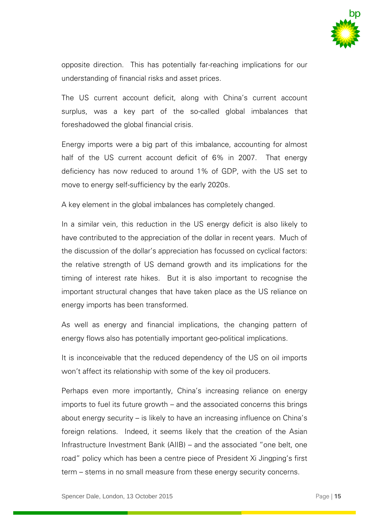

opposite direction. This has potentially far-reaching implications for our understanding of financial risks and asset prices.

The US current account deficit, along with China's current account surplus, was a key part of the so-called global imbalances that foreshadowed the global financial crisis.

Energy imports were a big part of this imbalance, accounting for almost half of the US current account deficit of 6% in 2007. That energy deficiency has now reduced to around 1% of GDP, with the US set to move to energy self-sufficiency by the early 2020s.

A key element in the global imbalances has completely changed.

In a similar vein, this reduction in the US energy deficit is also likely to have contributed to the appreciation of the dollar in recent years. Much of the discussion of the dollar's appreciation has focussed on cyclical factors: the relative strength of US demand growth and its implications for the timing of interest rate hikes. But it is also important to recognise the important structural changes that have taken place as the US reliance on energy imports has been transformed.

As well as energy and financial implications, the changing pattern of energy flows also has potentially important geo-political implications.

It is inconceivable that the reduced dependency of the US on oil imports won't affect its relationship with some of the key oil producers.

Perhaps even more importantly, China's increasing reliance on energy imports to fuel its future growth – and the associated concerns this brings about energy security – is likely to have an increasing influence on China's foreign relations. Indeed, it seems likely that the creation of the Asian Infrastructure Investment Bank (AIIB) – and the associated "one belt, one road" policy which has been a centre piece of President Xi Jingping's first term – stems in no small measure from these energy security concerns.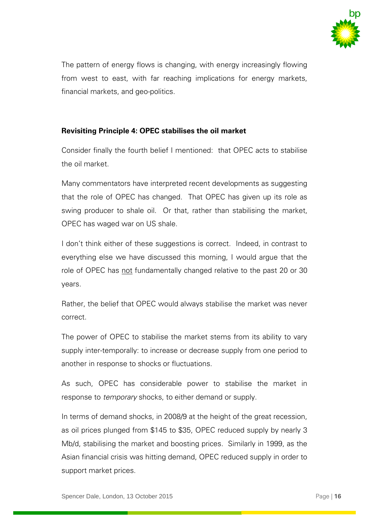

The pattern of energy flows is changing, with energy increasingly flowing from west to east, with far reaching implications for energy markets, financial markets, and geo-politics.

# **Revisiting Principle 4: OPEC stabilises the oil market**

Consider finally the fourth belief I mentioned: that OPEC acts to stabilise the oil market.

Many commentators have interpreted recent developments as suggesting that the role of OPEC has changed. That OPEC has given up its role as swing producer to shale oil. Or that, rather than stabilising the market, OPEC has waged war on US shale.

I don't think either of these suggestions is correct. Indeed, in contrast to everything else we have discussed this morning, I would argue that the role of OPEC has not fundamentally changed relative to the past 20 or 30 years.

Rather, the belief that OPEC would always stabilise the market was never correct.

The power of OPEC to stabilise the market stems from its ability to vary supply inter-temporally: to increase or decrease supply from one period to another in response to shocks or fluctuations.

As such, OPEC has considerable power to stabilise the market in response to *temporary* shocks, to either demand or supply.

In terms of demand shocks, in 2008/9 at the height of the great recession, as oil prices plunged from \$145 to \$35, OPEC reduced supply by nearly 3 Mb/d, stabilising the market and boosting prices. Similarly in 1999, as the Asian financial crisis was hitting demand, OPEC reduced supply in order to support market prices.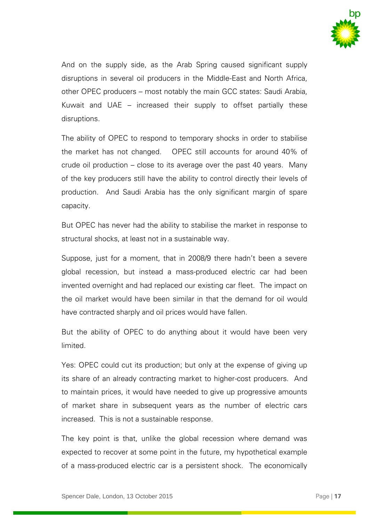

And on the supply side, as the Arab Spring caused significant supply disruptions in several oil producers in the Middle-East and North Africa, other OPEC producers – most notably the main GCC states: Saudi Arabia, Kuwait and UAE – increased their supply to offset partially these disruptions.

The ability of OPEC to respond to temporary shocks in order to stabilise the market has not changed. OPEC still accounts for around 40% of crude oil production – close to its average over the past 40 years. Many of the key producers still have the ability to control directly their levels of production. And Saudi Arabia has the only significant margin of spare capacity.

But OPEC has never had the ability to stabilise the market in response to structural shocks, at least not in a sustainable way.

Suppose, just for a moment, that in 2008/9 there hadn't been a severe global recession, but instead a mass-produced electric car had been invented overnight and had replaced our existing car fleet. The impact on the oil market would have been similar in that the demand for oil would have contracted sharply and oil prices would have fallen.

But the ability of OPEC to do anything about it would have been very limited.

Yes: OPEC could cut its production; but only at the expense of giving up its share of an already contracting market to higher-cost producers. And to maintain prices, it would have needed to give up progressive amounts of market share in subsequent years as the number of electric cars increased. This is not a sustainable response.

The key point is that, unlike the global recession where demand was expected to recover at some point in the future, my hypothetical example of a mass-produced electric car is a persistent shock. The economically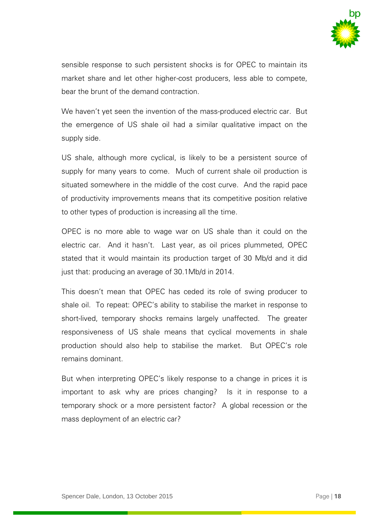

sensible response to such persistent shocks is for OPEC to maintain its market share and let other higher-cost producers, less able to compete, bear the brunt of the demand contraction.

We haven't yet seen the invention of the mass-produced electric car. But the emergence of US shale oil had a similar qualitative impact on the supply side.

US shale, although more cyclical, is likely to be a persistent source of supply for many years to come. Much of current shale oil production is situated somewhere in the middle of the cost curve. And the rapid pace of productivity improvements means that its competitive position relative to other types of production is increasing all the time.

OPEC is no more able to wage war on US shale than it could on the electric car. And it hasn't. Last year, as oil prices plummeted, OPEC stated that it would maintain its production target of 30 Mb/d and it did just that: producing an average of 30.1Mb/d in 2014.

This doesn't mean that OPEC has ceded its role of swing producer to shale oil. To repeat: OPEC's ability to stabilise the market in response to short-lived, temporary shocks remains largely unaffected. The greater responsiveness of US shale means that cyclical movements in shale production should also help to stabilise the market. But OPEC's role remains dominant.

But when interpreting OPEC's likely response to a change in prices it is important to ask why are prices changing? Is it in response to a temporary shock or a more persistent factor? A global recession or the mass deployment of an electric car?